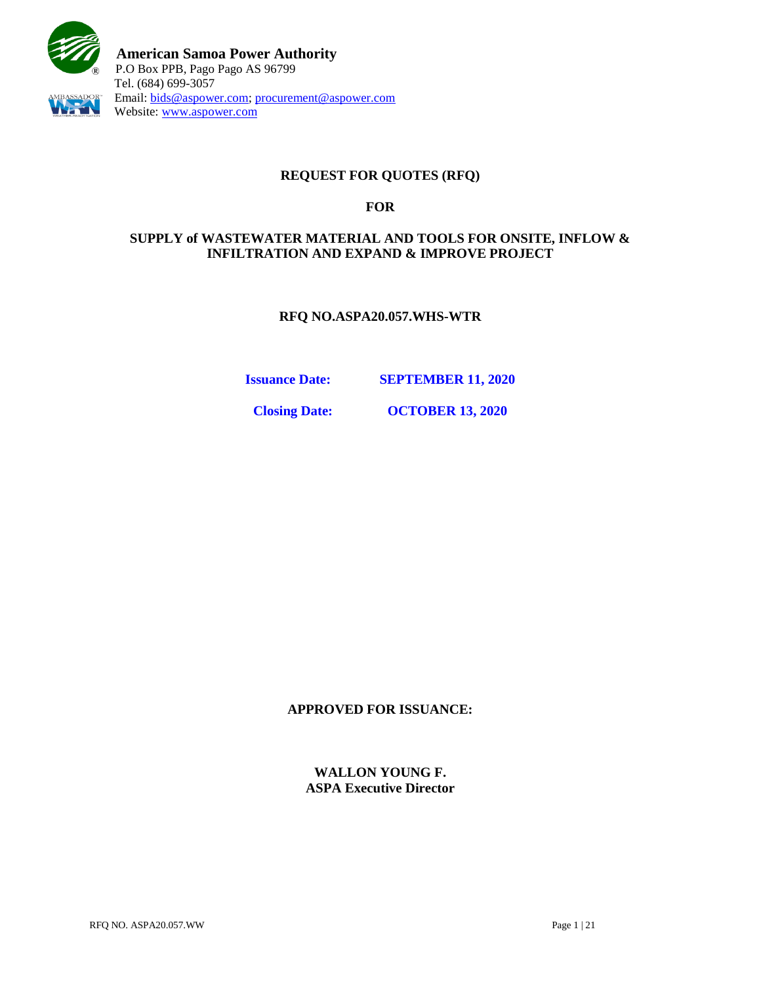

### **REQUEST FOR QUOTES (RFQ)**

#### **FOR**

### **SUPPLY of WASTEWATER MATERIAL AND TOOLS FOR ONSITE, INFLOW & INFILTRATION AND EXPAND & IMPROVE PROJECT**

**RFQ NO.ASPA20.057.WHS-WTR** 

**Issuance Date: SEPTEMBER 11, 2020**

**Closing Date: OCTOBER 13, 2020**

**APPROVED FOR ISSUANCE:**

**WALLON YOUNG F. ASPA Executive Director**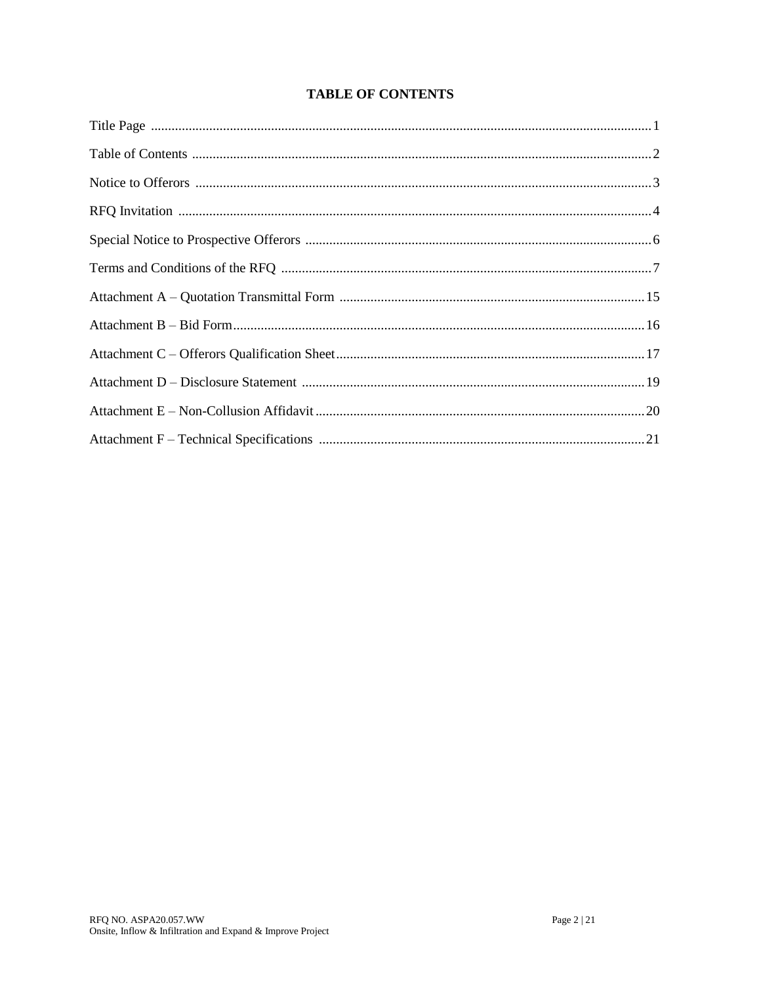# **TABLE OF CONTENTS**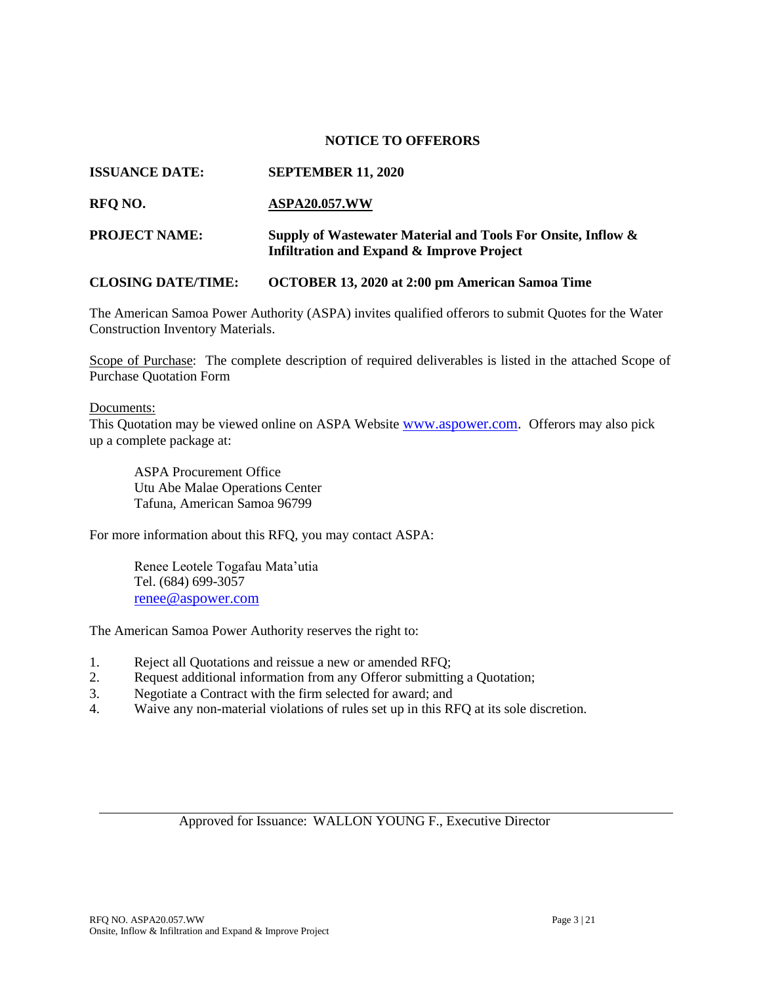#### **NOTICE TO OFFERORS**

#### **ISSUANCE DATE: SEPTEMBER 11, 2020**

#### **RFQ NO. ASPA20.057.WW**

# **PROJECT NAME: Supply of Wastewater Material and Tools For Onsite, Inflow & Infiltration and Expand & Improve Project**

#### **CLOSING DATE/TIME: OCTOBER 13, 2020 at 2:00 pm American Samoa Time**

The American Samoa Power Authority (ASPA) invites qualified offerors to submit Quotes for the Water Construction Inventory Materials.

Scope of Purchase: The complete description of required deliverables is listed in the attached Scope of Purchase Quotation Form

#### Documents:

This Quotation may be viewed online on ASPA Website [www.aspower.com.](http://www.aspower.com/) Offerors may also pick up a complete package at:

ASPA Procurement Office Utu Abe Malae Operations Center Tafuna, American Samoa 96799

For more information about this RFQ, you may contact ASPA:

Renee Leotele Togafau Mata'utia Tel. (684) 699-3057 [renee@aspower.com](mailto:renee@aspower.com)

The American Samoa Power Authority reserves the right to:

- 1. Reject all Quotations and reissue a new or amended RFQ;
- 2. Request additional information from any Offeror submitting a Quotation;
- 3. Negotiate a Contract with the firm selected for award; and
- 4. Waive any non-material violations of rules set up in this RFQ at its sole discretion.

#### Approved for Issuance: WALLON YOUNG F., Executive Director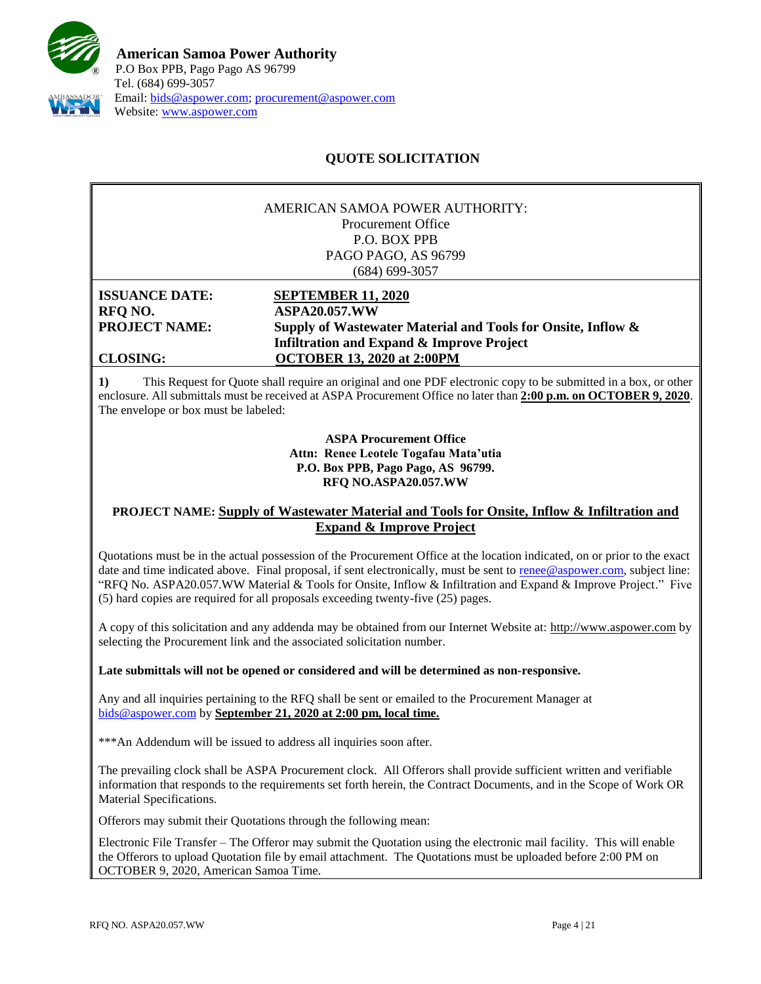

# **QUOTE SOLICITATION**

#### AMERICAN SAMOA POWER AUTHORITY: Procurement Office P.O. BOX PPB PAGO PAGO, AS 96799 (684) 699-3057

**ISSUANCE DATE: SEPTEMBER 11, 2020 RFQ NO. ASPA20.057.WW**

# **PROJECT NAME: Supply of Wastewater Material and Tools for Onsite, Inflow & Infiltration and Expand & Improve Project CLOSING: OCTOBER 13, 2020 at 2:00PM**

**1)** This Request for Quote shall require an original and one PDF electronic copy to be submitted in a box, or other enclosure. All submittals must be received at ASPA Procurement Office no later than **2:00 p.m. on OCTOBER 9, 2020**. The envelope or box must be labeled:

> **ASPA Procurement Office Attn: Renee Leotele Togafau Mata'utia P.O. Box PPB, Pago Pago, AS 96799. RFQ NO.ASPA20.057.WW**

#### **PROJECT NAME: Supply of Wastewater Material and Tools for Onsite, Inflow & Infiltration and Expand & Improve Project**

Quotations must be in the actual possession of the Procurement Office at the location indicated, on or prior to the exact date and time indicated above. Final proposal, if sent electronically, must be sent to [renee@aspower.com,](mailto:renee@aspower.com) subject line: "RFQ No. ASPA20.057.WW Material & Tools for Onsite, Inflow & Infiltration and Expand & Improve Project." Five (5) hard copies are required for all proposals exceeding twenty-five (25) pages.

A copy of this solicitation and any addenda may be obtained from our Internet Website at: [http://www.aspower.com](http://www.aspower.com/) by selecting the Procurement link and the associated solicitation number.

**Late submittals will not be opened or considered and will be determined as non-responsive.**

Any and all inquiries pertaining to the RFQ shall be sent or emailed to the Procurement Manager at [bids@aspower.com](mailto:bids@aspower.com) by **September 21, 2020 at 2:00 pm, local time.**

\*\*\*An Addendum will be issued to address all inquiries soon after.

The prevailing clock shall be ASPA Procurement clock. All Offerors shall provide sufficient written and verifiable information that responds to the requirements set forth herein, the Contract Documents, and in the Scope of Work OR Material Specifications.

**2)** Offerors may submit their Quotations through the following mean:

Electronic File Transfer – The Offeror may submit the Quotation using the electronic mail facility. This will enable the Offerors to upload Quotation file by email attachment. The Quotations must be uploaded before 2:00 PM on OCTOBER 9, 2020, American Samoa Time.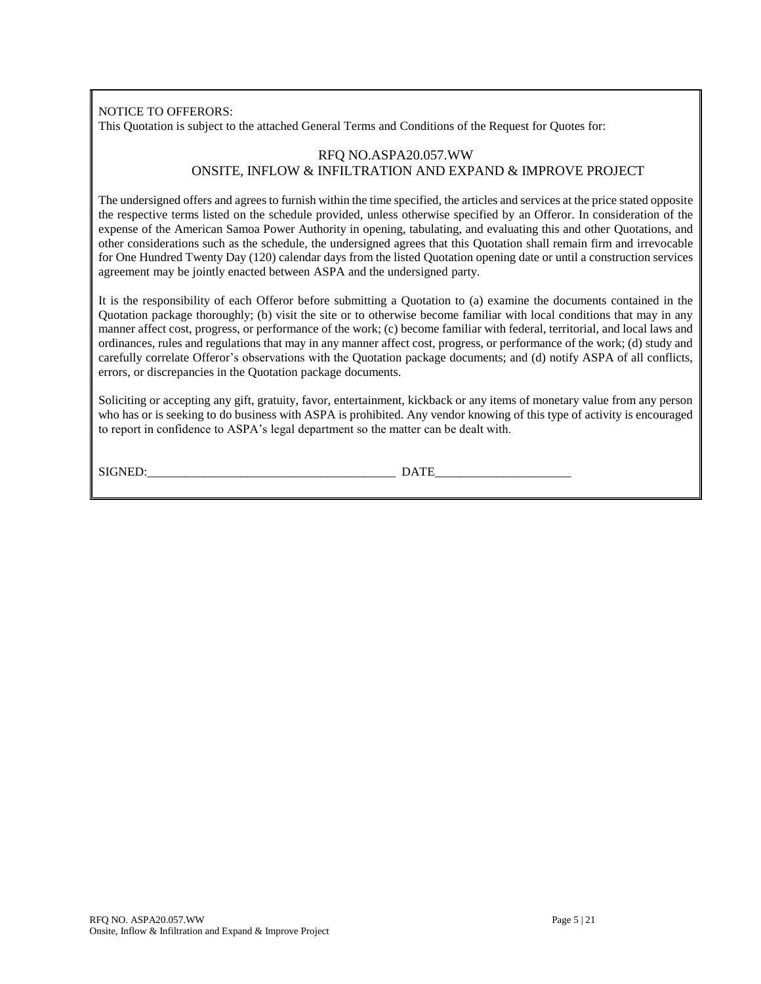NOTICE TO OFFERORS:

This Quotation is subject to the attached General Terms and Conditions of the Request for Quotes for:

#### RFQ NO.ASPA20.057.WW ONSITE, INFLOW & INFILTRATION AND EXPAND & IMPROVE PROJECT

The undersigned offers and agrees to furnish within the time specified, the articles and services at the price stated opposite the respective terms listed on the schedule provided, unless otherwise specified by an Offeror. In consideration of the expense of the American Samoa Power Authority in opening, tabulating, and evaluating this and other Quotations, and other considerations such as the schedule, the undersigned agrees that this Quotation shall remain firm and irrevocable for One Hundred Twenty Day (120) calendar days from the listed Quotation opening date or until a construction services agreement may be jointly enacted between ASPA and the undersigned party.

It is the responsibility of each Offeror before submitting a Quotation to (a) examine the documents contained in the Quotation package thoroughly; (b) visit the site or to otherwise become familiar with local conditions that may in any manner affect cost, progress, or performance of the work; (c) become familiar with federal, territorial, and local laws and ordinances, rules and regulations that may in any manner affect cost, progress, or performance of the work; (d) study and carefully correlate Offeror's observations with the Quotation package documents; and (d) notify ASPA of all conflicts, errors, or discrepancies in the Quotation package documents.

Soliciting or accepting any gift, gratuity, favor, entertainment, kickback or any items of monetary value from any person who has or is seeking to do business with ASPA is prohibited. Any vendor knowing of this type of activity is encouraged to report in confidence to ASPA's legal department so the matter can be dealt with.

SIGNED: DATE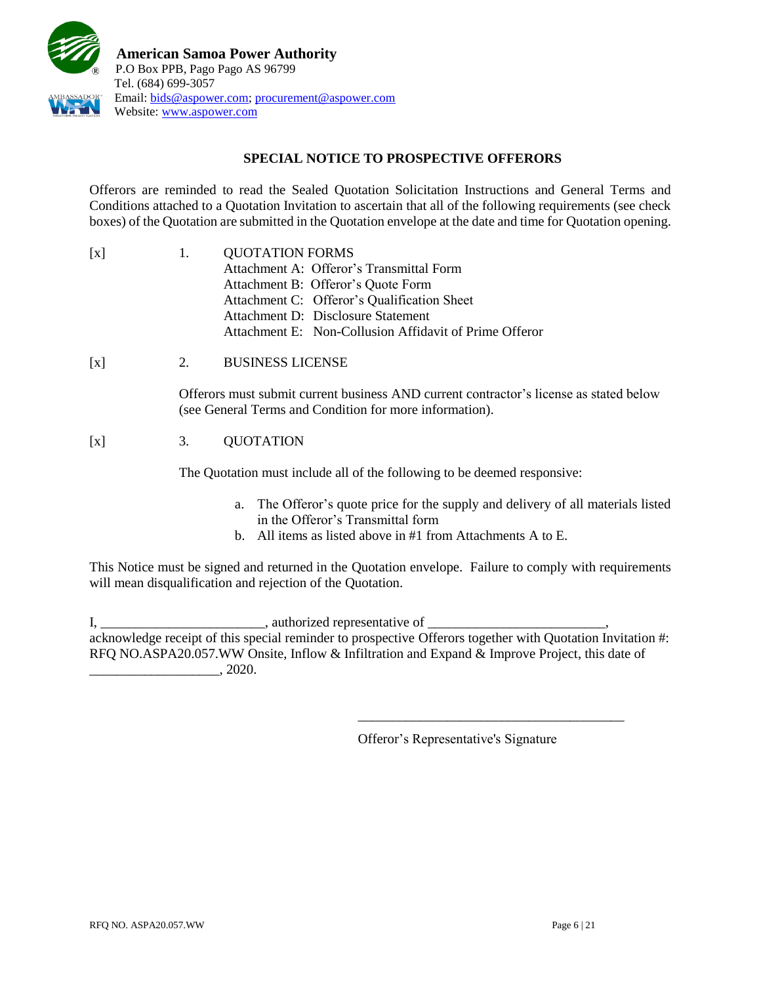

# **SPECIAL NOTICE TO PROSPECTIVE OFFERORS**

Offerors are reminded to read the Sealed Quotation Solicitation Instructions and General Terms and Conditions attached to a Quotation Invitation to ascertain that all of the following requirements (see check boxes) of the Quotation are submitted in the Quotation envelope at the date and time for Quotation opening.

| $\lceil x \rceil$ | $\mathbf{1}$ . | <b>QUOTATION FORMS</b>                                 |  |
|-------------------|----------------|--------------------------------------------------------|--|
|                   |                | Attachment A: Offeror's Transmittal Form               |  |
|                   |                | Attachment B: Offeror's Quote Form                     |  |
|                   |                | Attachment C: Offeror's Qualification Sheet            |  |
|                   |                | Attachment D: Disclosure Statement                     |  |
|                   |                | Attachment E: Non-Collusion Affidavit of Prime Offeror |  |

[x] 2. BUSINESS LICENSE

Offerors must submit current business AND current contractor's license as stated below (see General Terms and Condition for more information).

# [x] 3. QUOTATION

The Quotation must include all of the following to be deemed responsive:

- a. The Offeror's quote price for the supply and delivery of all materials listed in the Offeror's Transmittal form
- b. All items as listed above in #1 from Attachments A to E.

This Notice must be signed and returned in the Quotation envelope. Failure to comply with requirements will mean disqualification and rejection of the Quotation.

I, \_\_\_\_\_\_\_\_\_\_\_\_\_\_\_\_\_\_\_\_\_\_\_\_\_\_\_\_\_\_, authorized representative of \_\_\_\_\_\_\_\_\_\_ acknowledge receipt of this special reminder to prospective Offerors together with Quotation Invitation #: RFQ NO.ASPA20.057.WW Onsite, Inflow & Infiltration and Expand & Improve Project, this date of  $\frac{1}{2020}$ .

Offeror's Representative's Signature

\_\_\_\_\_\_\_\_\_\_\_\_\_\_\_\_\_\_\_\_\_\_\_\_\_\_\_\_\_\_\_\_\_\_\_\_\_\_\_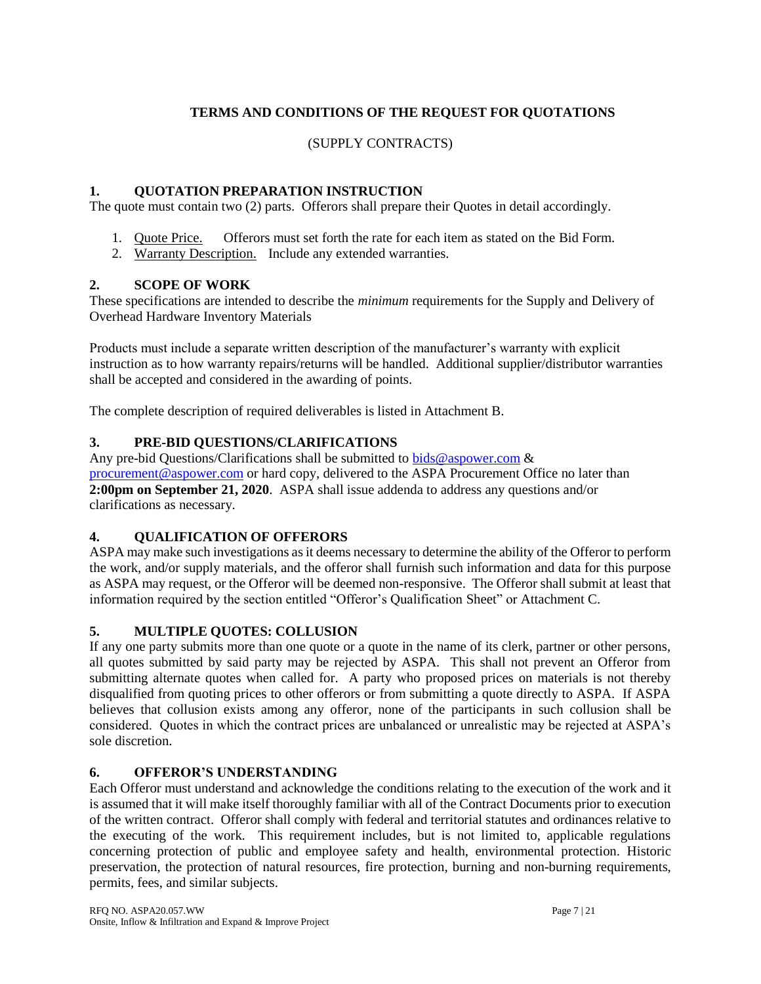# **TERMS AND CONDITIONS OF THE REQUEST FOR QUOTATIONS**

# (SUPPLY CONTRACTS)

# **1. QUOTATION PREPARATION INSTRUCTION**

The quote must contain two (2) parts. Offerors shall prepare their Quotes in detail accordingly.

- 1. Quote Price. Offerors must set forth the rate for each item as stated on the Bid Form.
- 2. Warranty Description. Include any extended warranties.

# **2. SCOPE OF WORK**

These specifications are intended to describe the *minimum* requirements for the Supply and Delivery of Overhead Hardware Inventory Materials

Products must include a separate written description of the manufacturer's warranty with explicit instruction as to how warranty repairs/returns will be handled. Additional supplier/distributor warranties shall be accepted and considered in the awarding of points.

The complete description of required deliverables is listed in Attachment B.

# **3. PRE-BID QUESTIONS/CLARIFICATIONS**

Any pre-bid Questions/Clarifications shall be submitted to [bids@aspower.com](mailto:bids@aspower.com)  $\&$ [procurement@aspower.com](mailto:procurement@aspower.com) or hard copy, delivered to the ASPA Procurement Office no later than **2:00pm on September 21, 2020**. ASPA shall issue addenda to address any questions and/or clarifications as necessary.

#### **4. QUALIFICATION OF OFFERORS**

ASPA may make such investigations as it deems necessary to determine the ability of the Offeror to perform the work, and/or supply materials, and the offeror shall furnish such information and data for this purpose as ASPA may request, or the Offeror will be deemed non-responsive. The Offeror shall submit at least that information required by the section entitled "Offeror's Qualification Sheet" or Attachment C.

# **5. MULTIPLE QUOTES: COLLUSION**

If any one party submits more than one quote or a quote in the name of its clerk, partner or other persons, all quotes submitted by said party may be rejected by ASPA. This shall not prevent an Offeror from submitting alternate quotes when called for. A party who proposed prices on materials is not thereby disqualified from quoting prices to other offerors or from submitting a quote directly to ASPA. If ASPA believes that collusion exists among any offeror, none of the participants in such collusion shall be considered. Quotes in which the contract prices are unbalanced or unrealistic may be rejected at ASPA's sole discretion.

# **6. OFFEROR'S UNDERSTANDING**

Each Offeror must understand and acknowledge the conditions relating to the execution of the work and it is assumed that it will make itself thoroughly familiar with all of the Contract Documents prior to execution of the written contract. Offeror shall comply with federal and territorial statutes and ordinances relative to the executing of the work. This requirement includes, but is not limited to, applicable regulations concerning protection of public and employee safety and health, environmental protection. Historic preservation, the protection of natural resources, fire protection, burning and non-burning requirements, permits, fees, and similar subjects.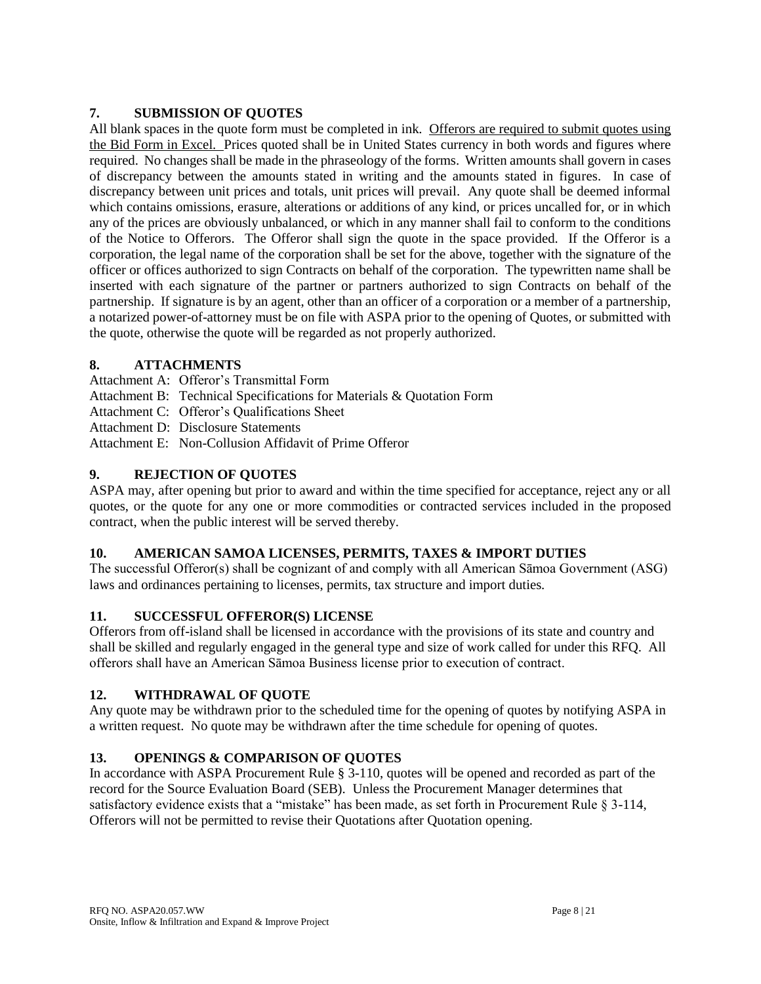# **7. SUBMISSION OF QUOTES**

All blank spaces in the quote form must be completed in ink. Offerors are required to submit quotes using the Bid Form in Excel. Prices quoted shall be in United States currency in both words and figures where required. No changes shall be made in the phraseology of the forms. Written amounts shall govern in cases of discrepancy between the amounts stated in writing and the amounts stated in figures. In case of discrepancy between unit prices and totals, unit prices will prevail. Any quote shall be deemed informal which contains omissions, erasure, alterations or additions of any kind, or prices uncalled for, or in which any of the prices are obviously unbalanced, or which in any manner shall fail to conform to the conditions of the Notice to Offerors. The Offeror shall sign the quote in the space provided. If the Offeror is a corporation, the legal name of the corporation shall be set for the above, together with the signature of the officer or offices authorized to sign Contracts on behalf of the corporation. The typewritten name shall be inserted with each signature of the partner or partners authorized to sign Contracts on behalf of the partnership. If signature is by an agent, other than an officer of a corporation or a member of a partnership, a notarized power-of-attorney must be on file with ASPA prior to the opening of Quotes, or submitted with the quote, otherwise the quote will be regarded as not properly authorized.

# **8. ATTACHMENTS**

- Attachment A: Offeror's Transmittal Form
- Attachment B: Technical Specifications for Materials & Quotation Form
- Attachment C: Offeror's Qualifications Sheet
- Attachment D: Disclosure Statements
- Attachment E: Non-Collusion Affidavit of Prime Offeror

# **9. REJECTION OF QUOTES**

ASPA may, after opening but prior to award and within the time specified for acceptance, reject any or all quotes, or the quote for any one or more commodities or contracted services included in the proposed contract, when the public interest will be served thereby.

# **10. AMERICAN SAMOA LICENSES, PERMITS, TAXES & IMPORT DUTIES**

The successful Offeror(s) shall be cognizant of and comply with all American Sāmoa Government (ASG) laws and ordinances pertaining to licenses, permits, tax structure and import duties.

# **11. SUCCESSFUL OFFEROR(S) LICENSE**

Offerors from off-island shall be licensed in accordance with the provisions of its state and country and shall be skilled and regularly engaged in the general type and size of work called for under this RFQ. All offerors shall have an American Sāmoa Business license prior to execution of contract.

# **12. WITHDRAWAL OF QUOTE**

Any quote may be withdrawn prior to the scheduled time for the opening of quotes by notifying ASPA in a written request. No quote may be withdrawn after the time schedule for opening of quotes.

# **13. OPENINGS & COMPARISON OF QUOTES**

In accordance with ASPA Procurement Rule § 3-110, quotes will be opened and recorded as part of the record for the Source Evaluation Board (SEB). Unless the Procurement Manager determines that satisfactory evidence exists that a "mistake" has been made, as set forth in Procurement Rule § 3-114, Offerors will not be permitted to revise their Quotations after Quotation opening.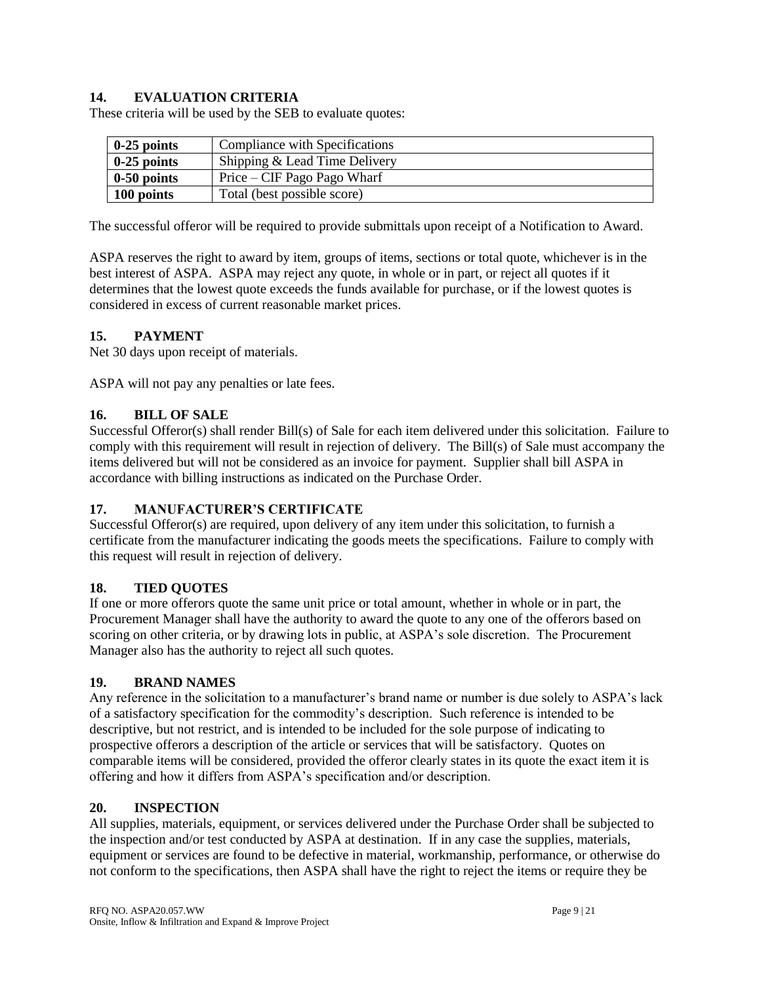# **14. EVALUATION CRITERIA**

These criteria will be used by the SEB to evaluate quotes:

| $\vert$ 0-25 points | Compliance with Specifications |
|---------------------|--------------------------------|
| $\vert$ 0-25 points | Shipping & Lead Time Delivery  |
| $\vert$ 0-50 points | Price – CIF Pago Pago Wharf    |
| 100 points          | Total (best possible score)    |

The successful offeror will be required to provide submittals upon receipt of a Notification to Award.

ASPA reserves the right to award by item, groups of items, sections or total quote, whichever is in the best interest of ASPA. ASPA may reject any quote, in whole or in part, or reject all quotes if it determines that the lowest quote exceeds the funds available for purchase, or if the lowest quotes is considered in excess of current reasonable market prices.

### **15. PAYMENT**

Net 30 days upon receipt of materials.

ASPA will not pay any penalties or late fees.

#### **16. BILL OF SALE**

Successful Offeror(s) shall render Bill(s) of Sale for each item delivered under this solicitation. Failure to comply with this requirement will result in rejection of delivery. The Bill(s) of Sale must accompany the items delivered but will not be considered as an invoice for payment. Supplier shall bill ASPA in accordance with billing instructions as indicated on the Purchase Order.

#### **17. MANUFACTURER'S CERTIFICATE**

Successful Offeror(s) are required, upon delivery of any item under this solicitation, to furnish a certificate from the manufacturer indicating the goods meets the specifications. Failure to comply with this request will result in rejection of delivery.

#### **18. TIED QUOTES**

If one or more offerors quote the same unit price or total amount, whether in whole or in part, the Procurement Manager shall have the authority to award the quote to any one of the offerors based on scoring on other criteria, or by drawing lots in public, at ASPA's sole discretion. The Procurement Manager also has the authority to reject all such quotes.

#### **19. BRAND NAMES**

Any reference in the solicitation to a manufacturer's brand name or number is due solely to ASPA's lack of a satisfactory specification for the commodity's description. Such reference is intended to be descriptive, but not restrict, and is intended to be included for the sole purpose of indicating to prospective offerors a description of the article or services that will be satisfactory. Quotes on comparable items will be considered, provided the offeror clearly states in its quote the exact item it is offering and how it differs from ASPA's specification and/or description.

#### **20. INSPECTION**

All supplies, materials, equipment, or services delivered under the Purchase Order shall be subjected to the inspection and/or test conducted by ASPA at destination. If in any case the supplies, materials, equipment or services are found to be defective in material, workmanship, performance, or otherwise do not conform to the specifications, then ASPA shall have the right to reject the items or require they be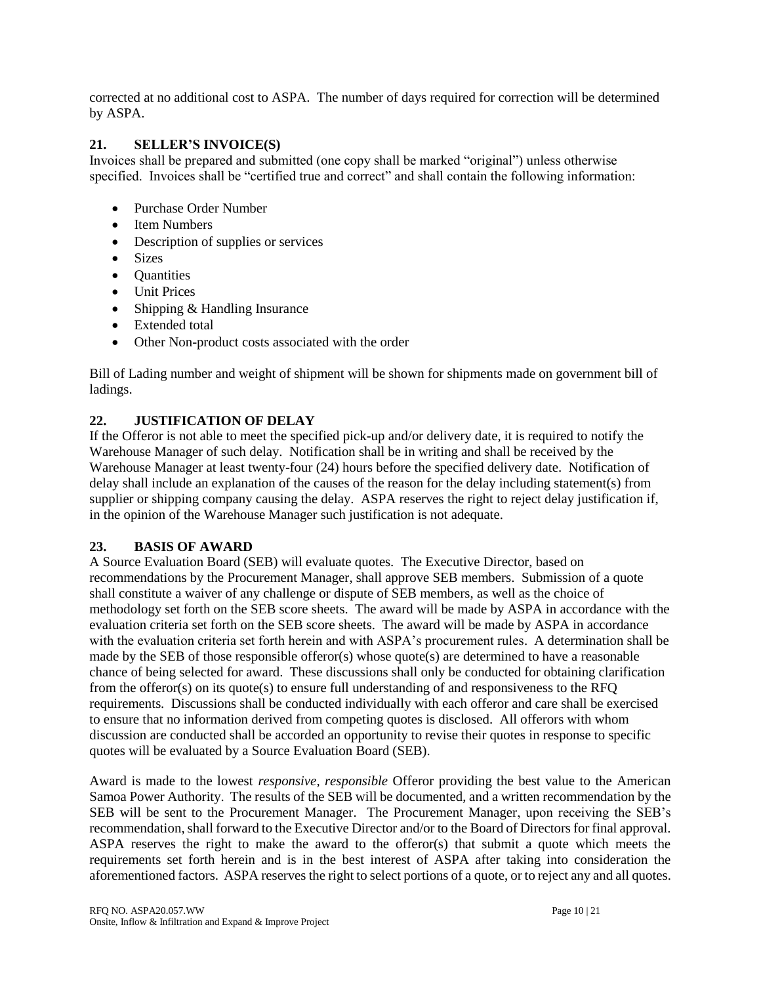corrected at no additional cost to ASPA. The number of days required for correction will be determined by ASPA.

# **21. SELLER'S INVOICE(S)**

Invoices shall be prepared and submitted (one copy shall be marked "original") unless otherwise specified. Invoices shall be "certified true and correct" and shall contain the following information:

- Purchase Order Number
- Item Numbers
- Description of supplies or services
- Sizes
- Ouantities
- Unit Prices
- Shipping & Handling Insurance
- Extended total
- Other Non-product costs associated with the order

Bill of Lading number and weight of shipment will be shown for shipments made on government bill of ladings.

# **22. JUSTIFICATION OF DELAY**

If the Offeror is not able to meet the specified pick-up and/or delivery date, it is required to notify the Warehouse Manager of such delay. Notification shall be in writing and shall be received by the Warehouse Manager at least twenty-four (24) hours before the specified delivery date. Notification of delay shall include an explanation of the causes of the reason for the delay including statement(s) from supplier or shipping company causing the delay. ASPA reserves the right to reject delay justification if, in the opinion of the Warehouse Manager such justification is not adequate.

# **23. BASIS OF AWARD**

A Source Evaluation Board (SEB) will evaluate quotes. The Executive Director, based on recommendations by the Procurement Manager, shall approve SEB members. Submission of a quote shall constitute a waiver of any challenge or dispute of SEB members, as well as the choice of methodology set forth on the SEB score sheets. The award will be made by ASPA in accordance with the evaluation criteria set forth on the SEB score sheets. The award will be made by ASPA in accordance with the evaluation criteria set forth herein and with ASPA's procurement rules. A determination shall be made by the SEB of those responsible offeror(s) whose quote(s) are determined to have a reasonable chance of being selected for award. These discussions shall only be conducted for obtaining clarification from the offeror(s) on its quote(s) to ensure full understanding of and responsiveness to the RFQ requirements. Discussions shall be conducted individually with each offeror and care shall be exercised to ensure that no information derived from competing quotes is disclosed. All offerors with whom discussion are conducted shall be accorded an opportunity to revise their quotes in response to specific quotes will be evaluated by a Source Evaluation Board (SEB).

Award is made to the lowest *responsive, responsible* Offeror providing the best value to the American Samoa Power Authority. The results of the SEB will be documented, and a written recommendation by the SEB will be sent to the Procurement Manager. The Procurement Manager, upon receiving the SEB's recommendation, shall forward to the Executive Director and/or to the Board of Directors for final approval. ASPA reserves the right to make the award to the offeror(s) that submit a quote which meets the requirements set forth herein and is in the best interest of ASPA after taking into consideration the aforementioned factors. ASPA reserves the right to select portions of a quote, or to reject any and all quotes.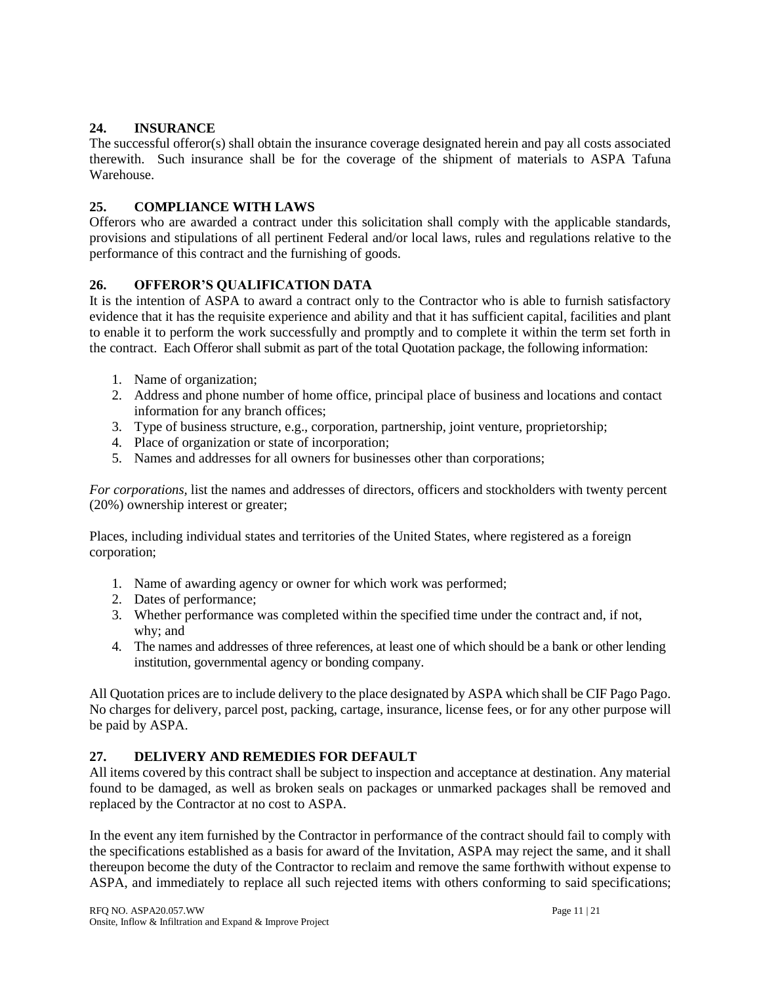# **24. INSURANCE**

The successful offeror(s) shall obtain the insurance coverage designated herein and pay all costs associated therewith. Such insurance shall be for the coverage of the shipment of materials to ASPA Tafuna Warehouse.

# **25. COMPLIANCE WITH LAWS**

Offerors who are awarded a contract under this solicitation shall comply with the applicable standards, provisions and stipulations of all pertinent Federal and/or local laws, rules and regulations relative to the performance of this contract and the furnishing of goods.

# **26. OFFEROR'S QUALIFICATION DATA**

It is the intention of ASPA to award a contract only to the Contractor who is able to furnish satisfactory evidence that it has the requisite experience and ability and that it has sufficient capital, facilities and plant to enable it to perform the work successfully and promptly and to complete it within the term set forth in the contract. Each Offeror shall submit as part of the total Quotation package, the following information:

- 1. Name of organization;
- 2. Address and phone number of home office, principal place of business and locations and contact information for any branch offices;
- 3. Type of business structure, e.g., corporation, partnership, joint venture, proprietorship;
- 4. Place of organization or state of incorporation;
- 5. Names and addresses for all owners for businesses other than corporations;

*For corporations,* list the names and addresses of directors, officers and stockholders with twenty percent (20%) ownership interest or greater;

Places, including individual states and territories of the United States, where registered as a foreign corporation;

- 1. Name of awarding agency or owner for which work was performed;
- 2. Dates of performance;
- 3. Whether performance was completed within the specified time under the contract and, if not, why; and
- 4. The names and addresses of three references, at least one of which should be a bank or other lending institution, governmental agency or bonding company.

All Quotation prices are to include delivery to the place designated by ASPA which shall be CIF Pago Pago. No charges for delivery, parcel post, packing, cartage, insurance, license fees, or for any other purpose will be paid by ASPA.

# **27. DELIVERY AND REMEDIES FOR DEFAULT**

All items covered by this contract shall be subject to inspection and acceptance at destination. Any material found to be damaged, as well as broken seals on packages or unmarked packages shall be removed and replaced by the Contractor at no cost to ASPA.

In the event any item furnished by the Contractor in performance of the contract should fail to comply with the specifications established as a basis for award of the Invitation, ASPA may reject the same, and it shall thereupon become the duty of the Contractor to reclaim and remove the same forthwith without expense to ASPA, and immediately to replace all such rejected items with others conforming to said specifications;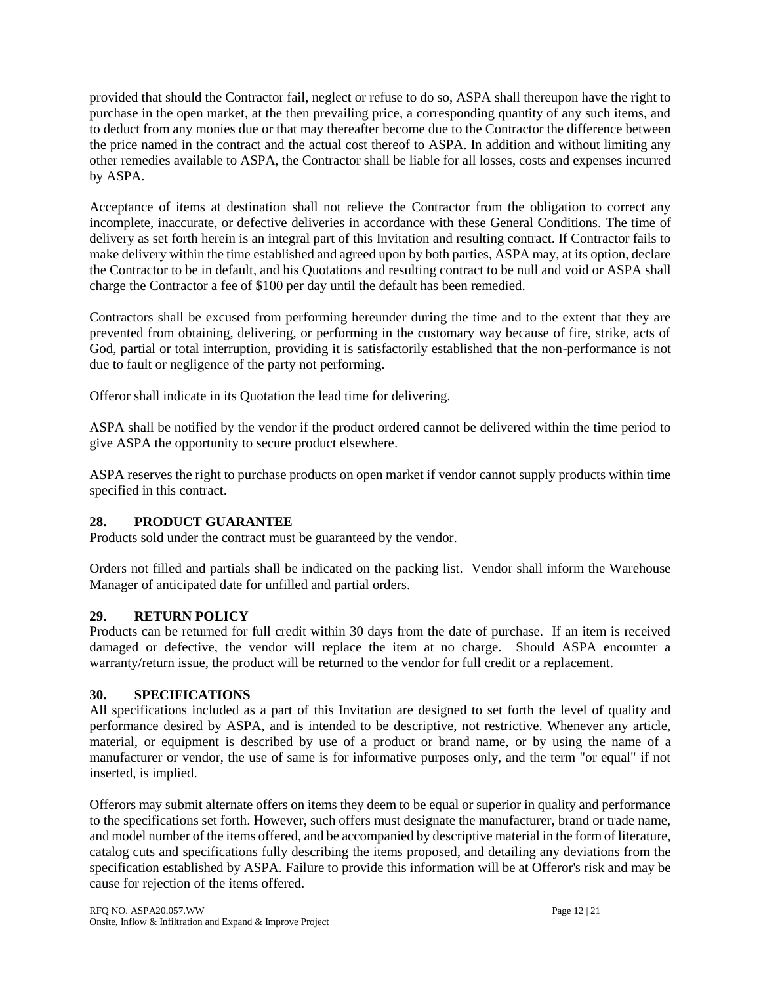provided that should the Contractor fail, neglect or refuse to do so, ASPA shall thereupon have the right to purchase in the open market, at the then prevailing price, a corresponding quantity of any such items, and to deduct from any monies due or that may thereafter become due to the Contractor the difference between the price named in the contract and the actual cost thereof to ASPA. In addition and without limiting any other remedies available to ASPA, the Contractor shall be liable for all losses, costs and expenses incurred by ASPA.

Acceptance of items at destination shall not relieve the Contractor from the obligation to correct any incomplete, inaccurate, or defective deliveries in accordance with these General Conditions. The time of delivery as set forth herein is an integral part of this Invitation and resulting contract. If Contractor fails to make delivery within the time established and agreed upon by both parties, ASPA may, at its option, declare the Contractor to be in default, and his Quotations and resulting contract to be null and void or ASPA shall charge the Contractor a fee of \$100 per day until the default has been remedied.

Contractors shall be excused from performing hereunder during the time and to the extent that they are prevented from obtaining, delivering, or performing in the customary way because of fire, strike, acts of God, partial or total interruption, providing it is satisfactorily established that the non-performance is not due to fault or negligence of the party not performing.

Offeror shall indicate in its Quotation the lead time for delivering.

ASPA shall be notified by the vendor if the product ordered cannot be delivered within the time period to give ASPA the opportunity to secure product elsewhere.

ASPA reserves the right to purchase products on open market if vendor cannot supply products within time specified in this contract.

# **28. PRODUCT GUARANTEE**

Products sold under the contract must be guaranteed by the vendor.

Orders not filled and partials shall be indicated on the packing list. Vendor shall inform the Warehouse Manager of anticipated date for unfilled and partial orders.

# **29. RETURN POLICY**

Products can be returned for full credit within 30 days from the date of purchase. If an item is received damaged or defective, the vendor will replace the item at no charge. Should ASPA encounter a warranty/return issue, the product will be returned to the vendor for full credit or a replacement.

#### **30. SPECIFICATIONS**

All specifications included as a part of this Invitation are designed to set forth the level of quality and performance desired by ASPA, and is intended to be descriptive, not restrictive. Whenever any article, material, or equipment is described by use of a product or brand name, or by using the name of a manufacturer or vendor, the use of same is for informative purposes only, and the term "or equal" if not inserted, is implied.

Offerors may submit alternate offers on items they deem to be equal or superior in quality and performance to the specifications set forth. However, such offers must designate the manufacturer, brand or trade name, and model number of the items offered, and be accompanied by descriptive material in the form of literature, catalog cuts and specifications fully describing the items proposed, and detailing any deviations from the specification established by ASPA. Failure to provide this information will be at Offeror's risk and may be cause for rejection of the items offered.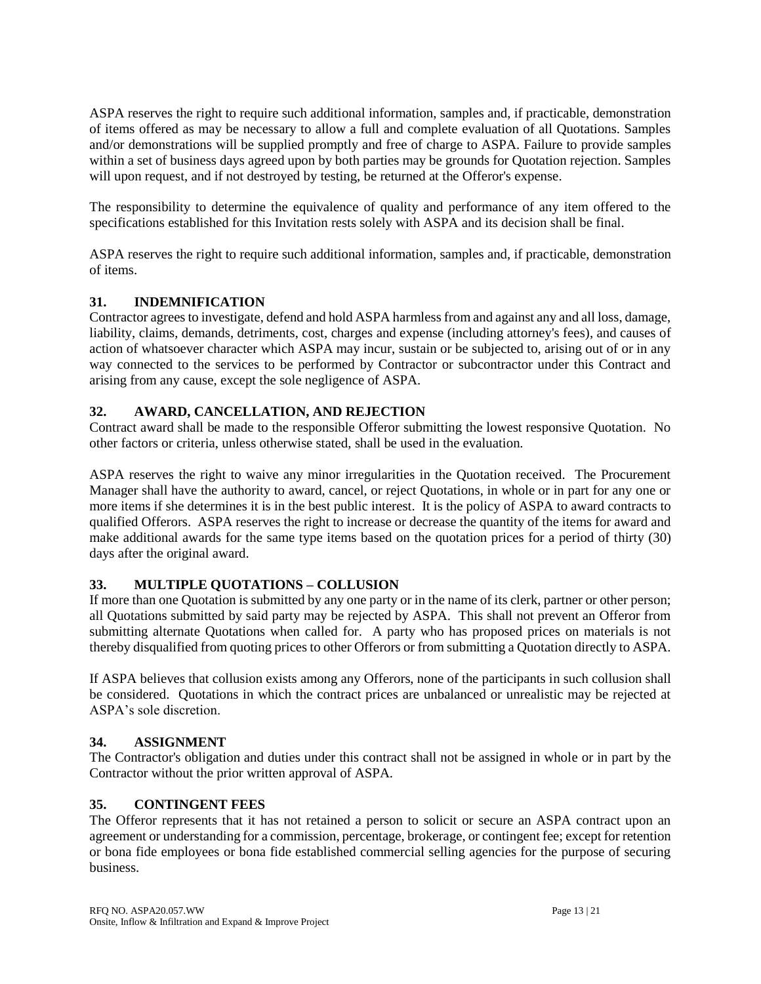ASPA reserves the right to require such additional information, samples and, if practicable, demonstration of items offered as may be necessary to allow a full and complete evaluation of all Quotations. Samples and/or demonstrations will be supplied promptly and free of charge to ASPA. Failure to provide samples within a set of business days agreed upon by both parties may be grounds for Quotation rejection. Samples will upon request, and if not destroyed by testing, be returned at the Offeror's expense.

The responsibility to determine the equivalence of quality and performance of any item offered to the specifications established for this Invitation rests solely with ASPA and its decision shall be final.

ASPA reserves the right to require such additional information, samples and, if practicable, demonstration of items.

### **31. INDEMNIFICATION**

Contractor agrees to investigate, defend and hold ASPA harmless from and against any and all loss, damage, liability, claims, demands, detriments, cost, charges and expense (including attorney's fees), and causes of action of whatsoever character which ASPA may incur, sustain or be subjected to, arising out of or in any way connected to the services to be performed by Contractor or subcontractor under this Contract and arising from any cause, except the sole negligence of ASPA.

### **32. AWARD, CANCELLATION, AND REJECTION**

Contract award shall be made to the responsible Offeror submitting the lowest responsive Quotation. No other factors or criteria, unless otherwise stated, shall be used in the evaluation.

ASPA reserves the right to waive any minor irregularities in the Quotation received. The Procurement Manager shall have the authority to award, cancel, or reject Quotations, in whole or in part for any one or more items if she determines it is in the best public interest. It is the policy of ASPA to award contracts to qualified Offerors. ASPA reserves the right to increase or decrease the quantity of the items for award and make additional awards for the same type items based on the quotation prices for a period of thirty (30) days after the original award.

# **33. MULTIPLE QUOTATIONS – COLLUSION**

If more than one Quotation is submitted by any one party or in the name of its clerk, partner or other person; all Quotations submitted by said party may be rejected by ASPA. This shall not prevent an Offeror from submitting alternate Quotations when called for. A party who has proposed prices on materials is not thereby disqualified from quoting prices to other Offerors or from submitting a Quotation directly to ASPA.

If ASPA believes that collusion exists among any Offerors, none of the participants in such collusion shall be considered. Quotations in which the contract prices are unbalanced or unrealistic may be rejected at ASPA's sole discretion.

#### **34. ASSIGNMENT**

The Contractor's obligation and duties under this contract shall not be assigned in whole or in part by the Contractor without the prior written approval of ASPA.

#### **35. CONTINGENT FEES**

The Offeror represents that it has not retained a person to solicit or secure an ASPA contract upon an agreement or understanding for a commission, percentage, brokerage, or contingent fee; except for retention or bona fide employees or bona fide established commercial selling agencies for the purpose of securing business.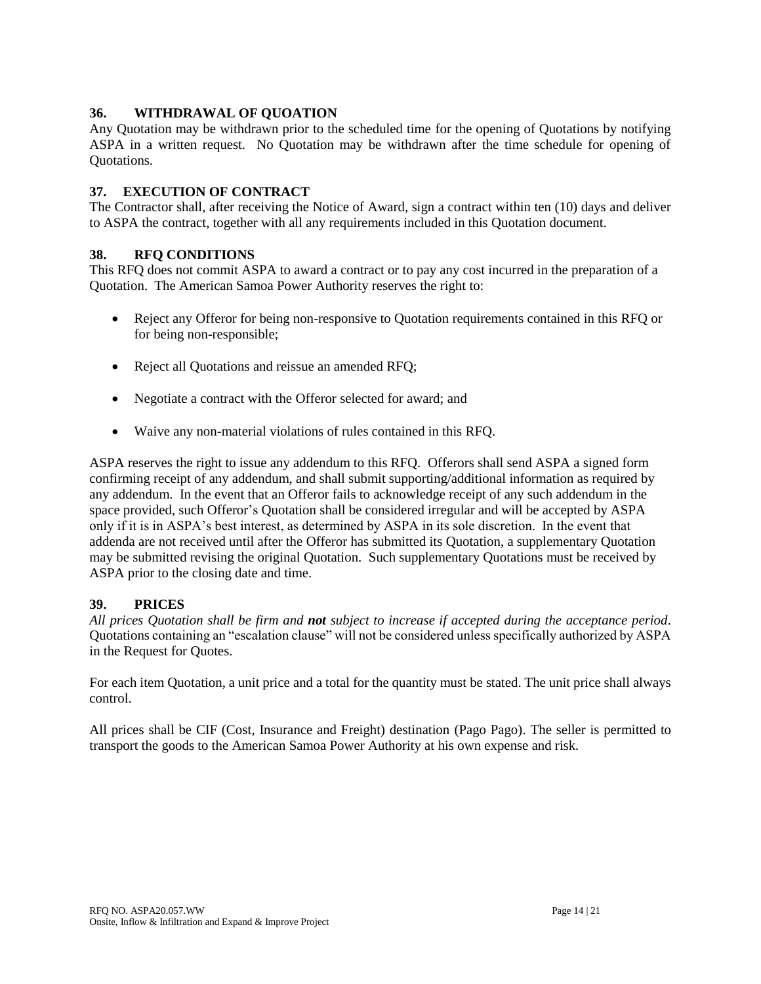### **36. WITHDRAWAL OF QUOATION**

Any Quotation may be withdrawn prior to the scheduled time for the opening of Quotations by notifying ASPA in a written request. No Quotation may be withdrawn after the time schedule for opening of Quotations.

#### **37. EXECUTION OF CONTRACT**

The Contractor shall, after receiving the Notice of Award, sign a contract within ten (10) days and deliver to ASPA the contract, together with all any requirements included in this Quotation document.

### **38. RFQ CONDITIONS**

This RFQ does not commit ASPA to award a contract or to pay any cost incurred in the preparation of a Quotation. The American Samoa Power Authority reserves the right to:

- Reject any Offeror for being non-responsive to Quotation requirements contained in this RFQ or for being non-responsible;
- Reject all Quotations and reissue an amended RFQ;
- Negotiate a contract with the Offeror selected for award; and
- Waive any non-material violations of rules contained in this RFQ.

ASPA reserves the right to issue any addendum to this RFQ. Offerors shall send ASPA a signed form confirming receipt of any addendum, and shall submit supporting/additional information as required by any addendum. In the event that an Offeror fails to acknowledge receipt of any such addendum in the space provided, such Offeror's Quotation shall be considered irregular and will be accepted by ASPA only if it is in ASPA's best interest, as determined by ASPA in its sole discretion. In the event that addenda are not received until after the Offeror has submitted its Quotation, a supplementary Quotation may be submitted revising the original Quotation. Such supplementary Quotations must be received by ASPA prior to the closing date and time.

#### **39. PRICES**

*All prices Quotation shall be firm and not subject to increase if accepted during the acceptance period*. Quotations containing an "escalation clause" will not be considered unless specifically authorized by ASPA in the Request for Quotes.

For each item Quotation, a unit price and a total for the quantity must be stated. The unit price shall always control.

All prices shall be CIF (Cost, Insurance and Freight) destination (Pago Pago). The seller is permitted to transport the goods to the American Samoa Power Authority at his own expense and risk.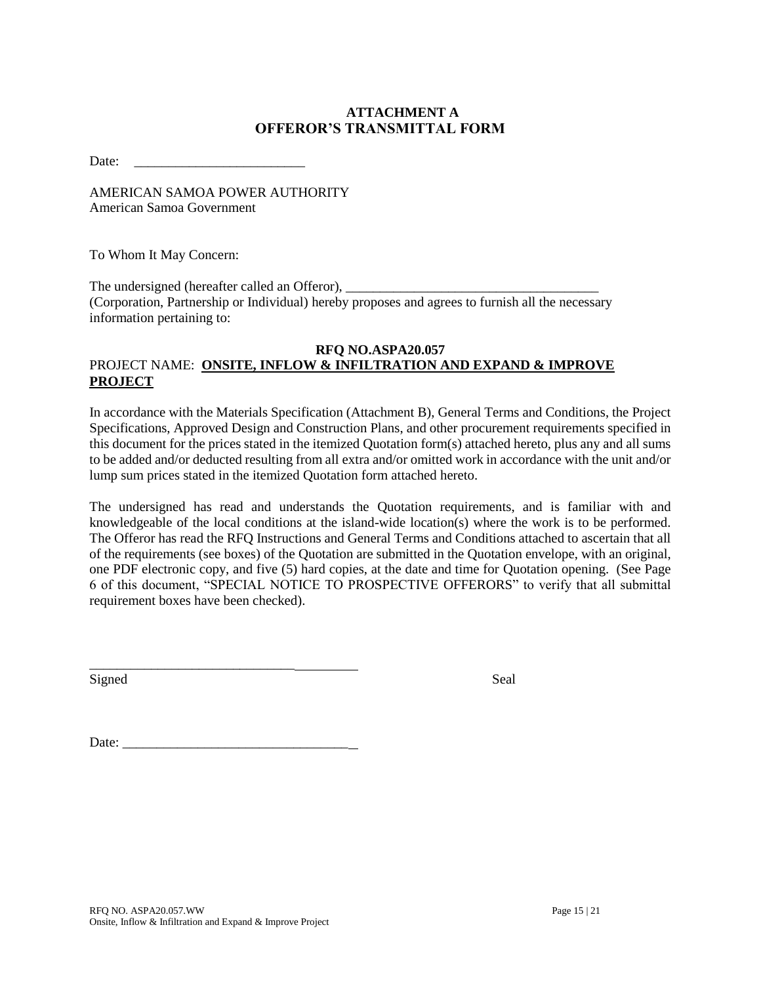# **ATTACHMENT A OFFEROR'S TRANSMITTAL FORM**

Date:

AMERICAN SAMOA POWER AUTHORITY American Samoa Government

To Whom It May Concern:

The undersigned (hereafter called an Offeror), (Corporation, Partnership or Individual) hereby proposes and agrees to furnish all the necessary information pertaining to:

#### **RFQ NO.ASPA20.057** PROJECT NAME: **ONSITE, INFLOW & INFILTRATION AND EXPAND & IMPROVE PROJECT**

In accordance with the Materials Specification (Attachment B), General Terms and Conditions, the Project Specifications, Approved Design and Construction Plans, and other procurement requirements specified in this document for the prices stated in the itemized Quotation form(s) attached hereto, plus any and all sums to be added and/or deducted resulting from all extra and/or omitted work in accordance with the unit and/or lump sum prices stated in the itemized Quotation form attached hereto.

The undersigned has read and understands the Quotation requirements, and is familiar with and knowledgeable of the local conditions at the island-wide location(s) where the work is to be performed. The Offeror has read the RFQ Instructions and General Terms and Conditions attached to ascertain that all of the requirements (see boxes) of the Quotation are submitted in the Quotation envelope, with an original, one PDF electronic copy, and five (5) hard copies, at the date and time for Quotation opening. (See Page 6 of this document, "SPECIAL NOTICE TO PROSPECTIVE OFFERORS" to verify that all submittal requirement boxes have been checked).

Signed Seal

Date: \_\_\_\_\_\_\_\_\_\_\_\_\_\_\_\_\_\_\_\_\_\_\_\_\_\_\_\_\_\_\_\_\_

\_\_\_\_\_\_\_\_\_\_\_\_\_\_\_\_\_\_\_\_\_\_\_\_\_\_\_\_\_\_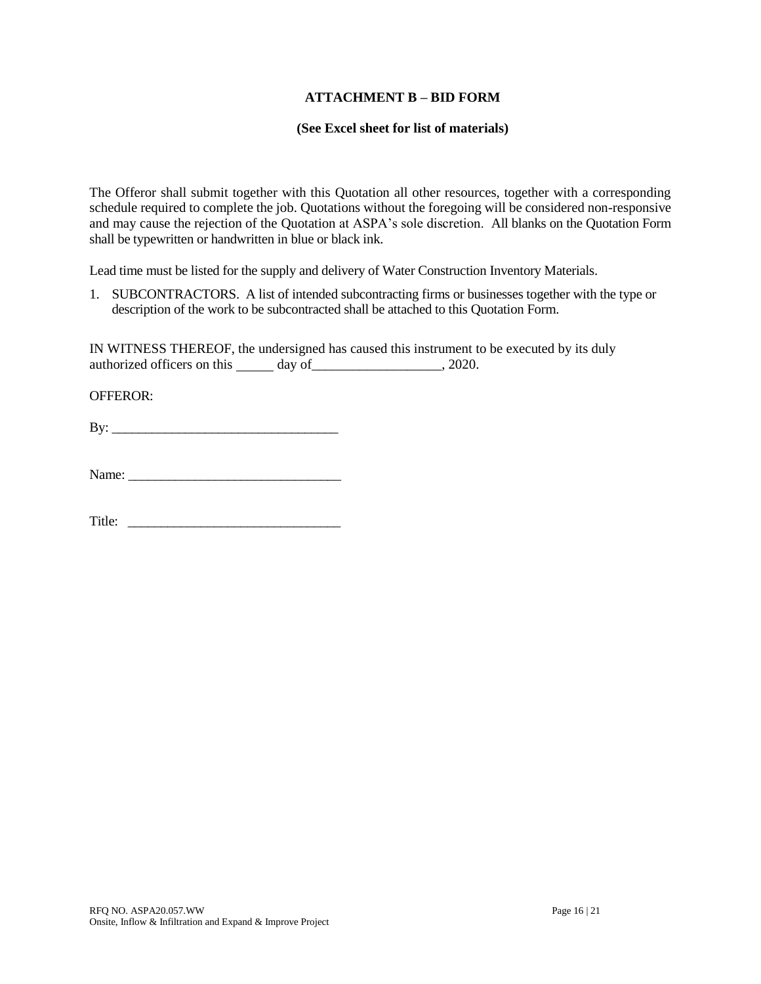#### **ATTACHMENT B – BID FORM**

#### **(See Excel sheet for list of materials)**

The Offeror shall submit together with this Quotation all other resources, together with a corresponding schedule required to complete the job. Quotations without the foregoing will be considered non-responsive and may cause the rejection of the Quotation at ASPA's sole discretion. All blanks on the Quotation Form shall be typewritten or handwritten in blue or black ink.

Lead time must be listed for the supply and delivery of Water Construction Inventory Materials.

1. SUBCONTRACTORS. A list of intended subcontracting firms or businesses together with the type or description of the work to be subcontracted shall be attached to this Quotation Form.

IN WITNESS THEREOF, the undersigned has caused this instrument to be executed by its duly authorized officers on this day of \_\_\_\_\_\_\_\_\_\_\_\_\_\_\_\_\_\_\_\_, 2020.

OFFEROR:

 $\mathbf{B} \mathbf{y}$ :

Title: \_\_\_\_\_\_\_\_\_\_\_\_\_\_\_\_\_\_\_\_\_\_\_\_\_\_\_\_\_\_\_\_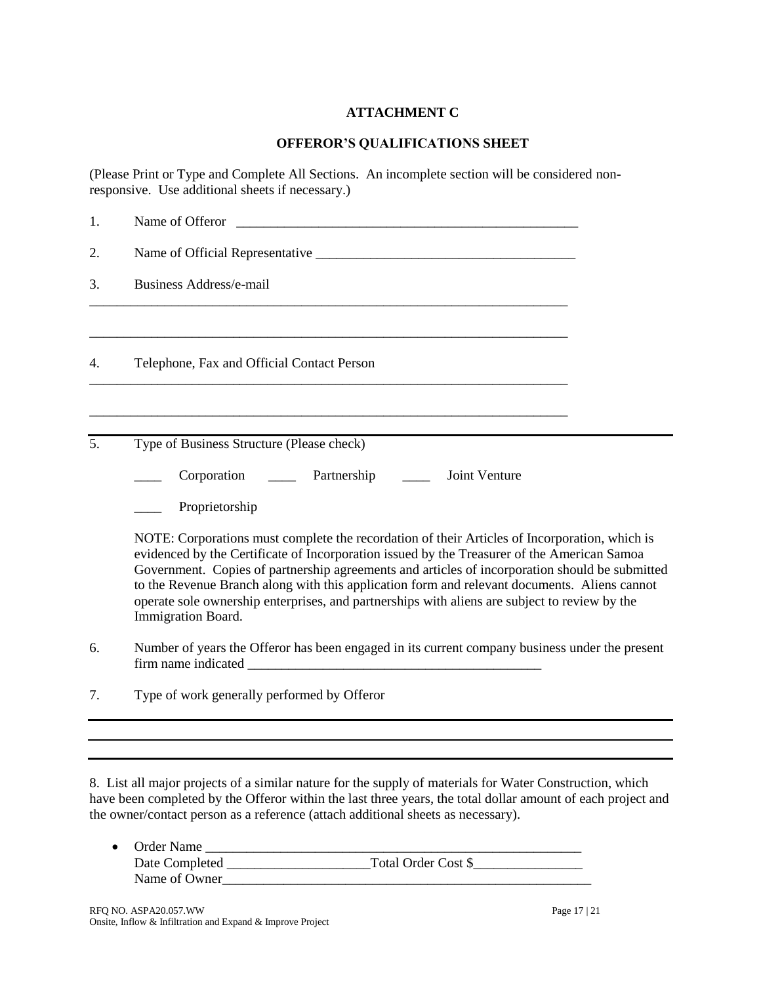# **ATTACHMENT C**

#### **OFFEROR'S QUALIFICATIONS SHEET**

(Please Print or Type and Complete All Sections. An incomplete section will be considered nonresponsive. Use additional sheets if necessary.)

| 1. | Name of Offeror                                                                                                                                                                                                                                                                                                                                                                                                                                                                                                       |  |  |  |
|----|-----------------------------------------------------------------------------------------------------------------------------------------------------------------------------------------------------------------------------------------------------------------------------------------------------------------------------------------------------------------------------------------------------------------------------------------------------------------------------------------------------------------------|--|--|--|
| 2. |                                                                                                                                                                                                                                                                                                                                                                                                                                                                                                                       |  |  |  |
| 3. | <b>Business Address/e-mail</b>                                                                                                                                                                                                                                                                                                                                                                                                                                                                                        |  |  |  |
| 4. | Telephone, Fax and Official Contact Person                                                                                                                                                                                                                                                                                                                                                                                                                                                                            |  |  |  |
| 5. | Type of Business Structure (Please check)                                                                                                                                                                                                                                                                                                                                                                                                                                                                             |  |  |  |
|    | Partnership<br>Joint Venture<br>Corporation                                                                                                                                                                                                                                                                                                                                                                                                                                                                           |  |  |  |
|    | Proprietorship                                                                                                                                                                                                                                                                                                                                                                                                                                                                                                        |  |  |  |
|    | NOTE: Corporations must complete the recordation of their Articles of Incorporation, which is<br>evidenced by the Certificate of Incorporation issued by the Treasurer of the American Samoa<br>Government. Copies of partnership agreements and articles of incorporation should be submitted<br>to the Revenue Branch along with this application form and relevant documents. Aliens cannot<br>operate sole ownership enterprises, and partnerships with aliens are subject to review by the<br>Immigration Board. |  |  |  |
| 6. | Number of years the Offeror has been engaged in its current company business under the present                                                                                                                                                                                                                                                                                                                                                                                                                        |  |  |  |
| 7. | Type of work generally performed by Offeror                                                                                                                                                                                                                                                                                                                                                                                                                                                                           |  |  |  |
|    |                                                                                                                                                                                                                                                                                                                                                                                                                                                                                                                       |  |  |  |
|    |                                                                                                                                                                                                                                                                                                                                                                                                                                                                                                                       |  |  |  |

8. List all major projects of a similar nature for the supply of materials for Water Construction, which have been completed by the Offeror within the last three years, the total dollar amount of each project and the owner/contact person as a reference (attach additional sheets as necessary).

| • Order Name   |                     |
|----------------|---------------------|
| Date Completed | Total Order Cost \$ |
| Name of Owner  |                     |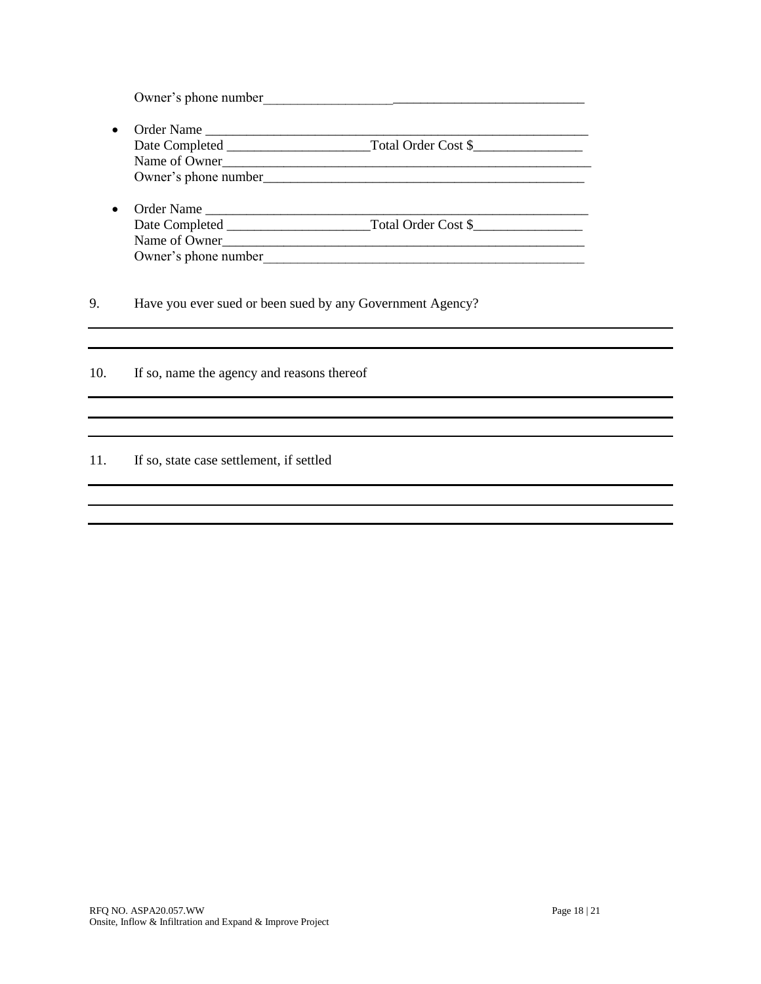Owner's phone number\_\_\_\_\_\_\_\_\_\_\_\_\_\_\_\_\_\_\_\_\_\_\_\_\_\_\_\_\_\_\_\_\_\_\_\_\_\_\_\_\_\_\_\_\_\_\_

- Order Name \_\_\_\_\_\_\_\_\_\_\_\_\_\_\_\_\_\_\_\_\_\_\_\_\_\_\_\_\_\_\_\_\_\_\_\_\_\_\_\_\_\_\_\_\_\_\_\_\_\_\_\_\_\_\_\_ Date Completed \_\_\_\_\_\_\_\_\_\_\_\_\_\_\_\_\_\_\_\_\_Total Order Cost \$\_\_\_\_\_\_\_\_\_\_\_\_\_\_\_\_ Name of Owner\_\_\_\_\_\_\_\_\_\_\_\_\_\_\_\_\_\_\_\_\_\_\_\_\_\_\_\_\_\_\_\_\_\_\_\_\_\_\_\_\_\_\_\_\_\_\_\_\_\_\_\_\_\_ Owner's phone number\_\_\_\_\_\_\_\_\_\_\_\_\_\_\_\_\_\_\_\_\_\_\_\_\_\_\_\_\_\_\_\_\_\_\_\_\_\_\_\_\_\_\_\_\_\_\_
- Order Name \_\_\_\_\_\_\_\_\_\_\_\_\_\_\_\_\_\_\_\_\_\_\_\_\_\_\_\_\_\_\_\_\_\_\_\_\_\_\_\_\_\_\_\_\_\_\_\_\_\_\_\_\_\_\_\_ Date Completed \_\_\_\_\_\_\_\_\_\_\_\_\_\_\_\_\_\_\_\_\_Total Order Cost \$\_\_\_\_\_\_\_\_\_\_\_\_\_\_\_\_ Name of Owner Owner's phone number

9. Have you ever sued or been sued by any Government Agency?

10. If so, name the agency and reasons thereof

### 11. If so, state case settlement, if settled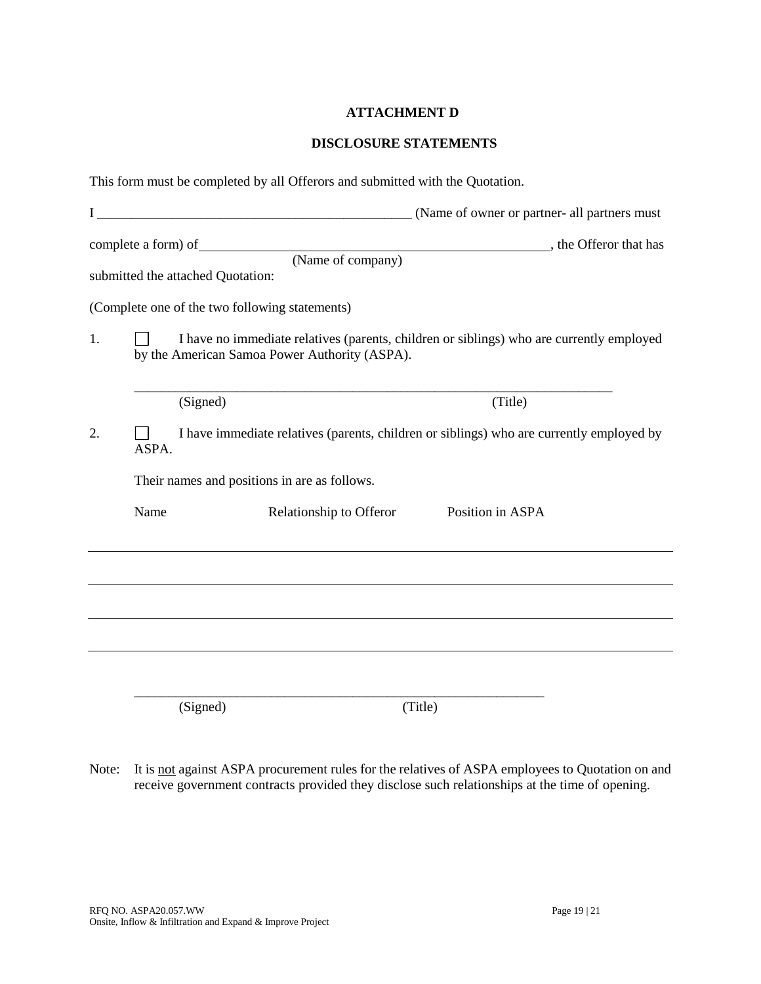### **ATTACHMENT D**

#### **DISCLOSURE STATEMENTS**

|    |       | This form must be completed by all Offerors and submitted with the Quotation.                                                             |                                         |  |
|----|-------|-------------------------------------------------------------------------------------------------------------------------------------------|-----------------------------------------|--|
|    |       |                                                                                                                                           |                                         |  |
|    |       | submitted the attached Quotation:<br>(Complete one of the two following statements)                                                       | (Name of company), the Offeror that has |  |
| 1. |       | I have no immediate relatives (parents, children or siblings) who are currently employed<br>by the American Samoa Power Authority (ASPA). |                                         |  |
|    |       | (Signed)                                                                                                                                  | (Title)                                 |  |
| 2. | ASPA. | I have immediate relatives (parents, children or siblings) who are currently employed by                                                  |                                         |  |
|    |       | Their names and positions in are as follows.                                                                                              |                                         |  |
|    | Name  | Relationship to Offeror                                                                                                                   | Position in ASPA                        |  |
|    |       |                                                                                                                                           |                                         |  |
|    |       |                                                                                                                                           |                                         |  |
|    |       |                                                                                                                                           |                                         |  |
|    |       | (Signed)                                                                                                                                  | (Title)                                 |  |

Note: It is not against ASPA procurement rules for the relatives of ASPA employees to Quotation on and receive government contracts provided they disclose such relationships at the time of opening.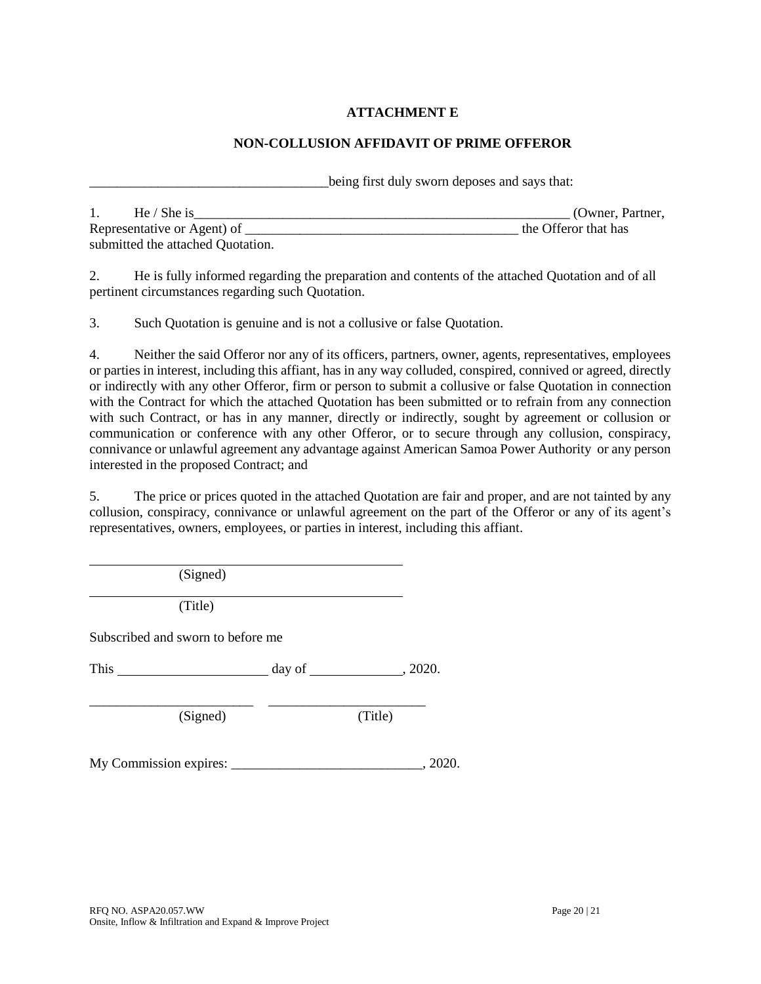# **ATTACHMENT E**

### **NON-COLLUSION AFFIDAVIT OF PRIME OFFEROR**

being first duly sworn deposes and says that:

| He / She is                       | (Owner, Partner,     |
|-----------------------------------|----------------------|
| Representative or Agent) of       | the Offeror that has |
| submitted the attached Quotation. |                      |

2. He is fully informed regarding the preparation and contents of the attached Quotation and of all pertinent circumstances regarding such Quotation.

3. Such Quotation is genuine and is not a collusive or false Quotation.

4. Neither the said Offeror nor any of its officers, partners, owner, agents, representatives, employees or parties in interest, including this affiant, has in any way colluded, conspired, connived or agreed, directly or indirectly with any other Offeror, firm or person to submit a collusive or false Quotation in connection with the Contract for which the attached Quotation has been submitted or to refrain from any connection with such Contract, or has in any manner, directly or indirectly, sought by agreement or collusion or communication or conference with any other Offeror, or to secure through any collusion, conspiracy, connivance or unlawful agreement any advantage against American Samoa Power Authority or any person interested in the proposed Contract; and

5. The price or prices quoted in the attached Quotation are fair and proper, and are not tainted by any collusion, conspiracy, connivance or unlawful agreement on the part of the Offeror or any of its agent's representatives, owners, employees, or parties in interest, including this affiant.

(Signed)

(Title)

Subscribed and sworn to before me

This  $\frac{day \text{ of } (2020.4 \text{ m})}{x}$ 

\_\_\_\_\_\_\_\_\_\_\_\_\_\_\_\_\_\_\_\_\_\_\_\_ \_\_\_\_\_\_\_\_\_\_\_\_\_\_\_\_\_\_\_\_\_\_\_

(Signed) (Title)

My Commission expires: \_\_\_\_\_\_\_\_\_\_\_\_\_\_\_\_\_\_\_\_\_\_\_\_\_\_\_\_, 2020.